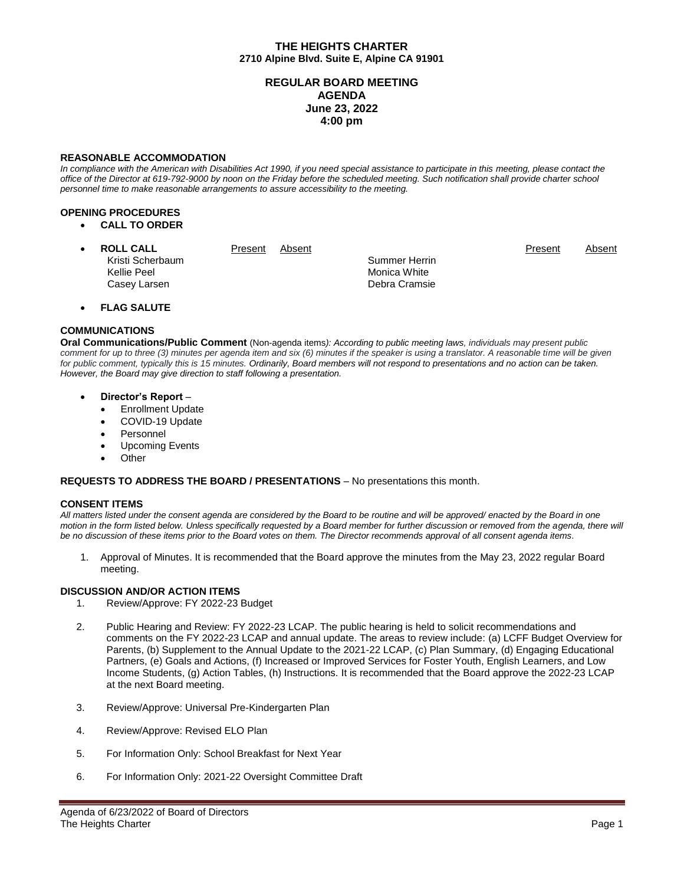## **THE HEIGHTS CHARTER 2710 Alpine Blvd. Suite E, Alpine CA 91901**

# **REGULAR BOARD MEETING AGENDA June 23, 2022 4:00 pm**

### **REASONABLE ACCOMMODATION**

In compliance with the American with Disabilities Act 1990, if you need special assistance to participate in this meeting, please contact the *office of the Director at 619-792-9000 by noon on the Friday before the scheduled meeting. Such notification shall provide charter school personnel time to make reasonable arrangements to assure accessibility to the meeting.*

### **OPENING PROCEDURES**

**CALL TO ORDER**

| <b>ROLL CALL</b>                | Present | Absent |                               | Present | Absent |
|---------------------------------|---------|--------|-------------------------------|---------|--------|
| Kristi Scherbaum<br>Kellie Peel |         |        | Summer Herrin<br>Monica White |         |        |
| Casey Larsen                    |         |        | Debra Cramsie                 |         |        |

**FLAG SALUTE**

## **COMMUNICATIONS**

**Oral Communications/Public Comment** (Non-agenda items*): According to public meeting laws, individuals may present public comment for up to three (3) minutes per agenda item and six (6) minutes if the speaker is using a translator. A reasonable time will be given for public comment, typically this is 15 minutes. Ordinarily, Board members will not respond to presentations and no action can be taken. However, the Board may give direction to staff following a presentation.*

- **Director's Report**
	- Enrollment Update
	- COVID-19 Update
	- Personnel
	- Upcoming Events
	- **Other**

#### **REQUESTS TO ADDRESS THE BOARD / PRESENTATIONS** – No presentations this month.

#### **CONSENT ITEMS**

*All matters listed under the consent agenda are considered by the Board to be routine and will be approved/ enacted by the Board in one motion in the form listed below. Unless specifically requested by a Board member for further discussion or removed from the agenda, there will be no discussion of these items prior to the Board votes on them. The Director recommends approval of all consent agenda items*.

1. Approval of Minutes. It is recommended that the Board approve the minutes from the May 23, 2022 regular Board meeting.

## **DISCUSSION AND/OR ACTION ITEMS**

- 1. Review/Approve: FY 2022-23 Budget
- 2. Public Hearing and Review: FY 2022-23 LCAP. The public hearing is held to solicit recommendations and comments on the FY 2022-23 LCAP and annual update. The areas to review include: (a) LCFF Budget Overview for Parents, (b) Supplement to the Annual Update to the 2021-22 LCAP, (c) Plan Summary, (d) Engaging Educational Partners, (e) Goals and Actions, (f) Increased or Improved Services for Foster Youth, English Learners, and Low Income Students, (g) Action Tables, (h) Instructions. It is recommended that the Board approve the 2022-23 LCAP at the next Board meeting.
- 3. Review/Approve: Universal Pre-Kindergarten Plan
- 4. Review/Approve: Revised ELO Plan
- 5. For Information Only: School Breakfast for Next Year
- 6. For Information Only: 2021-22 Oversight Committee Draft